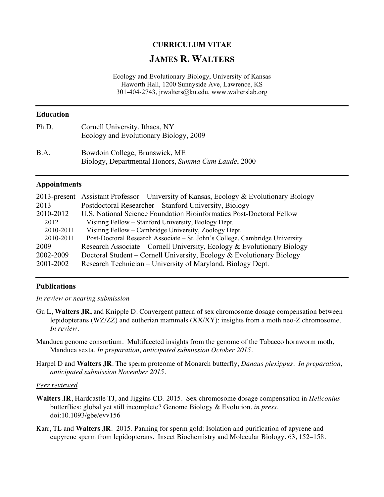# **CURRICULUM VITAE**

# **JAMES R. WALTERS**

Ecology and Evolutionary Biology, University of Kansas Haworth Hall, 1200 Sunnyside Ave, Lawrence, KS 301-404-2743, jrwalters@ku.edu, www.walterslab.org

# **Education**

| Ph.D. | Cornell University, Ithaca, NY<br>Ecology and Evolutionary Biology, 2009              |
|-------|---------------------------------------------------------------------------------------|
| B.A.  | Bowdoin College, Brunswick, ME<br>Biology, Departmental Honors, Summa Cum Laude, 2000 |

#### **Appointments**

|           | 2013-present Assistant Professor – University of Kansas, Ecology & Evolutionary Biology |  |
|-----------|-----------------------------------------------------------------------------------------|--|
| 2013      | Postdoctoral Researcher – Stanford University, Biology                                  |  |
| 2010-2012 | U.S. National Science Foundation Bioinformatics Post-Doctoral Fellow                    |  |
| 2012      | Visiting Fellow - Stanford University, Biology Dept.                                    |  |
| 2010-2011 | Visiting Fellow – Cambridge University, Zoology Dept.                                   |  |
| 2010-2011 | Post-Doctoral Research Associate – St. John's College, Cambridge University             |  |
| 2009      | Research Associate – Cornell University, Ecology & Evolutionary Biology                 |  |
| 2002-2009 | Doctoral Student – Cornell University, Ecology & Evolutionary Biology                   |  |
| 2001-2002 | Research Technician – University of Maryland, Biology Dept.                             |  |

#### **Publications**

# *In review or nearing submission*

- Gu L, **Walters JR,** and Knipple D. Convergent pattern of sex chromosome dosage compensation between lepidopterans (WZ/ZZ) and eutherian mammals (XX/XY): insights from a moth neo-Z chromosome. *In review.*
- Manduca genome consortium. Multifaceted insights from the genome of the Tabacco hornworm moth, Manduca sexta. *In preparation, anticipated submission October 2015*.
- Harpel D and **Walters JR**. The sperm proteome of Monarch butterfly, *Danaus plexippus*. *In preparation, anticipated submission November 2015.*

#### *Peer reviewed*

- **Walters JR**, Hardcastle TJ, and Jiggins CD. 2015. Sex chromosome dosage compensation in *Heliconius* butterflies: global yet still incomplete? Genome Biology & Evolution, *in press*. doi:10.1093/gbe/evv156
- Karr, TL and **Walters JR**. 2015. Panning for sperm gold: Isolation and purification of apyrene and eupyrene sperm from lepidopterans. Insect Biochemistry and Molecular Biology, 63, 152–158.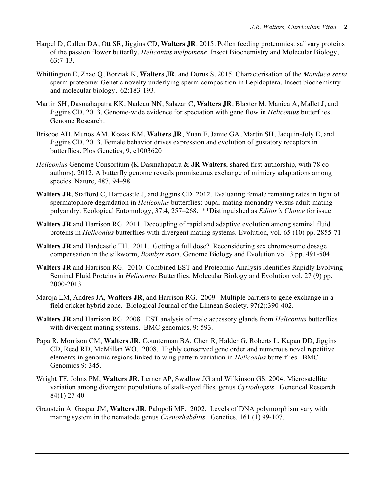- Harpel D, Cullen DA, Ott SR, Jiggins CD, **Walters JR**. 2015. Pollen feeding proteomics: salivary proteins of the passion flower butterfly, *Heliconius melpomene*. Insect Biochemistry and Molecular Biology, 63:7-13.
- Whittington E, Zhao Q, Borziak K, **Walters JR**, and Dorus S. 2015. Characterisation of the *Manduca sexta* sperm proteome: Genetic novelty underlying sperm composition in Lepidoptera. Insect biochemistry and molecular biology. 62:183-193.
- Martin SH, Dasmahapatra KK, Nadeau NN, Salazar C, **Walters JR**, Blaxter M, Manica A, Mallet J, and Jiggins CD. 2013. Genome-wide evidence for speciation with gene flow in *Heliconius* butterflies. Genome Research.
- Briscoe AD, Munos AM, Kozak KM, **Walters JR**, Yuan F, Jamie GA, Martin SH, Jacquin-Joly E, and Jiggins CD. 2013. Female behavior drives expression and evolution of gustatory receptors in butterflies. Plos Genetics, 9, e1003620
- *Heliconius* Genome Consortium **(**K Dasmahapatra & **JR Walters**, shared first-authorship, with 78 coauthors). 2012. A butterfly genome reveals promiscuous exchange of mimicry adaptations among species. Nature, 487, 94–98.
- **Walters JR,** Stafford C, Hardcastle J, and Jiggins CD. 2012. Evaluating female remating rates in light of spermatophore degradation in *Heliconius* butterflies: pupal-mating monandry versus adult-mating polyandry. Ecological Entomology, 37:4, 257–268. \*\*Distinguished as *Editor's Choice* for issue
- **Walters JR** and Harrison RG. 2011. Decoupling of rapid and adaptive evolution among seminal fluid proteins in *Heliconius* butterflies with divergent mating systems. Evolution, vol. 65 (10) pp. 2855-71
- **Walters JR** and Hardcastle TH. 2011. Getting a full dose? Reconsidering sex chromosome dosage compensation in the silkworm, *Bombyx mori*. Genome Biology and Evolution vol. 3 pp. 491-504
- **Walters JR** and Harrison RG.2010. Combined EST and Proteomic Analysis Identifies Rapidly Evolving Seminal Fluid Proteins in *Heliconius* Butterflies. Molecular Biology and Evolution vol. 27 (9) pp. 2000-2013
- Maroja LM, Andres JA, **Walters JR**, and Harrison RG. 2009. Multiple barriers to gene exchange in a field cricket hybrid zone. Biological Journal of the Linnean Society. 97(2):390-402.
- **Walters JR** and Harrison RG. 2008. EST analysis of male accessory glands from *Heliconius* butterflies with divergent mating systems. BMC genomics, 9: 593.
- Papa R, Morrison CM, **Walters JR**, Counterman BA, Chen R, Halder G, Roberts L, Kapan DD, Jiggins CD, Reed RD, McMillan WO. 2008. Highly conserved gene order and numerous novel repetitive elements in genomic regions linked to wing pattern variation in *Heliconius* butterflies. BMC Genomics 9: 345.
- Wright TF, Johns PM, **Walters JR**, Lerner AP, Swallow JG and Wilkinson GS. 2004. Microsatellite variation among divergent populations of stalk-eyed flies, genus *Cyrtodiopsis*. Genetical Research 84(1) 27-40
- Graustein A, Gaspar JM, **Walters JR**, Palopoli MF. 2002. Levels of DNA polymorphism vary with mating system in the nematode genus *Caenorhabditis*. Genetics. 161 (1) 99-107.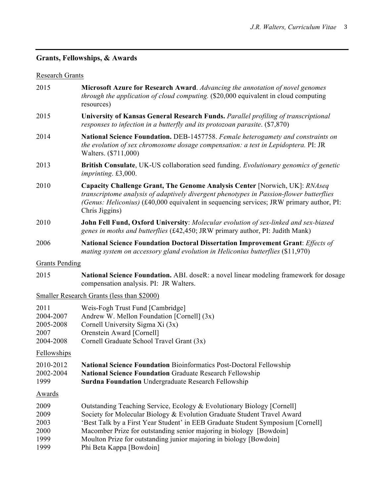# **Grants, Fellowships, & Awards**

# Research Grants

| 2015                                                | <b>Microsoft Azure for Research Award</b> . Advancing the annotation of novel genomes<br>through the application of cloud computing. (\$20,000 equivalent in cloud computing<br>resources)                                                                                                                                                                                                                    |  |
|-----------------------------------------------------|---------------------------------------------------------------------------------------------------------------------------------------------------------------------------------------------------------------------------------------------------------------------------------------------------------------------------------------------------------------------------------------------------------------|--|
| 2015                                                | University of Kansas General Research Funds. Parallel profiling of transcriptional<br>responses to infection in a butterfly and its protozoan parasite. $(\$7,870)$                                                                                                                                                                                                                                           |  |
| 2014                                                | National Science Foundation. DEB-1457758. Female heterogamety and constraints on<br>the evolution of sex chromosome dosage compensation: a test in Lepidoptera. PI: JR<br>Walters. (\$711,000)                                                                                                                                                                                                                |  |
| 2013                                                | British Consulate, UK-US collaboration seed funding. Evolutionary genomics of genetic<br><i>imprinting.</i> £3,000.                                                                                                                                                                                                                                                                                           |  |
| 2010                                                | <b>Capacity Challenge Grant, The Genome Analysis Center [Norwich, UK]: RNAseq</b><br>transcriptome analysis of adaptively divergent phenotypes in Passion-flower butterflies<br>(Genus: Heliconius) (£40,000 equivalent in sequencing services; JRW primary author, PI:<br>Chris Jiggins)                                                                                                                     |  |
| 2010                                                | John Fell Fund, Oxford University: Molecular evolution of sex-linked and sex-biased<br>genes in moths and butterflies (£42,450; JRW primary author, PI: Judith Mank)                                                                                                                                                                                                                                          |  |
| 2006                                                | <b>National Science Foundation Doctoral Dissertation Improvement Grant: Effects of</b><br>mating system on accessory gland evolution in Heliconius butterflies (\$11,970)                                                                                                                                                                                                                                     |  |
| <b>Grants Pending</b>                               |                                                                                                                                                                                                                                                                                                                                                                                                               |  |
| 2015                                                | <b>National Science Foundation.</b> ABI. doseR: a novel linear modeling framework for dosage<br>compensation analysis. PI: JR Walters.                                                                                                                                                                                                                                                                        |  |
|                                                     | Smaller Research Grants (less than \$2000)                                                                                                                                                                                                                                                                                                                                                                    |  |
| 2011<br>2004-2007<br>2005-2008<br>2007<br>2004-2008 | Weis-Fogh Trust Fund [Cambridge]<br>Andrew W. Mellon Foundation [Cornell] (3x)<br>Cornell University Sigma Xi (3x)<br>Orenstein Award [Cornell]<br>Cornell Graduate School Travel Grant (3x)                                                                                                                                                                                                                  |  |
| <b>Fellowships</b>                                  |                                                                                                                                                                                                                                                                                                                                                                                                               |  |
| 2010-2012<br>2002-2004<br>1999                      | <b>National Science Foundation Bioinformatics Post-Doctoral Fellowship</b><br><b>National Science Foundation Graduate Research Fellowship</b><br><b>Surdna Foundation</b> Undergraduate Research Fellowship                                                                                                                                                                                                   |  |
| <u>Awards</u>                                       |                                                                                                                                                                                                                                                                                                                                                                                                               |  |
| 2009<br>2009<br>2003<br>2000<br>1999<br>1999        | Outstanding Teaching Service, Ecology & Evolutionary Biology [Cornell]<br>Society for Molecular Biology & Evolution Graduate Student Travel Award<br>'Best Talk by a First Year Student' in EEB Graduate Student Symposium [Cornell]<br>Macomber Prize for outstanding senior majoring in biology [Bowdoin]<br>Moulton Prize for outstanding junior majoring in biology [Bowdoin]<br>Phi Beta Kappa [Bowdoin] |  |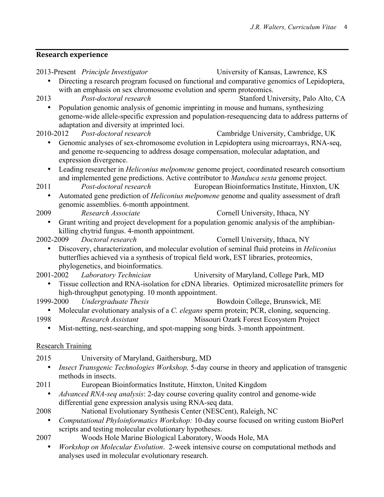# **Research experience**

| 2013-Present Principle Investigator                                                          | University of Kansas, Lawrence, KS                                                                  |
|----------------------------------------------------------------------------------------------|-----------------------------------------------------------------------------------------------------|
|                                                                                              | Directing a research program focused on functional and comparative genomics of Lepidoptera,         |
| with an emphasis on sex chromosome evolution and sperm proteomics.                           |                                                                                                     |
| 2013<br>Post-doctoral research                                                               | Stanford University, Palo Alto, CA                                                                  |
|                                                                                              | Population genomic analysis of genomic imprinting in mouse and humans, synthesizing                 |
|                                                                                              | genome-wide allele-specific expression and population-resequencing data to address patterns of      |
| adaptation and diversity at imprinted loci.                                                  |                                                                                                     |
| 2010-2012<br>Post-doctoral research                                                          | Cambridge University, Cambridge, UK                                                                 |
|                                                                                              | Genomic analyses of sex-chromosome evolution in Lepidoptera using microarrays, RNA-seq,             |
|                                                                                              | and genome re-sequencing to address dosage compensation, molecular adaptation, and                  |
| expression divergence.                                                                       |                                                                                                     |
| $\bullet$                                                                                    | Leading researcher in <i>Heliconius melpomene</i> genome project, coordinated research consortium   |
|                                                                                              | and implemented gene predictions. Active contributor to Manduca sexta genome project.               |
| Post-doctoral research<br>2011                                                               | European Bioinformatics Institute, Hinxton, UK                                                      |
| $\bullet$                                                                                    | Automated gene prediction of Heliconius melpomene genome and quality assessment of draft            |
| genomic assemblies. 6-month appointment.                                                     |                                                                                                     |
| 2009<br>Research Associate                                                                   | Cornell University, Ithaca, NY                                                                      |
| $\bullet$                                                                                    | Grant writing and project development for a population genomic analysis of the amphibian-           |
| killing chytrid fungus. 4-month appointment.                                                 |                                                                                                     |
| 2002-2009<br>Doctoral research                                                               | Cornell University, Ithaca, NY                                                                      |
|                                                                                              | Discovery, characterization, and molecular evolution of seminal fluid proteins in <i>Heliconius</i> |
| butterflies achieved via a synthesis of tropical field work, EST libraries, proteomics,      |                                                                                                     |
| phylogenetics, and bioinformatics.                                                           |                                                                                                     |
| 2001-2002 Laboratory Technician                                                              | University of Maryland, College Park, MD                                                            |
|                                                                                              | Tissue collection and RNA-isolation for cDNA libraries. Optimized microsatellite primers for        |
| high-throughput genotyping. 10 month appointment.                                            |                                                                                                     |
| 1999-2000<br><b>Undergraduate Thesis</b>                                                     | Bowdoin College, Brunswick, ME                                                                      |
|                                                                                              | Molecular evolutionary analysis of a C. elegans sperm protein; PCR, cloning, sequencing.            |
| 1998<br>Research Assistant                                                                   | Missouri Ozark Forest Ecosystem Project                                                             |
| Mist-netting, nest-searching, and spot-mapping song birds. 3-month appointment.<br>$\bullet$ |                                                                                                     |
|                                                                                              |                                                                                                     |
| <b>Research Training</b>                                                                     |                                                                                                     |
| 2015<br>University of Maryland, Gaithersburg, MD                                             |                                                                                                     |
|                                                                                              | Insect Transgenic Technologies Workshop, 5-day course in theory and application of transgenic       |
| methods in insects.                                                                          |                                                                                                     |
| European Bioinformatics Institute, Hinxton, United Kingdom<br>2011                           |                                                                                                     |
|                                                                                              | <i>Advanced RNA-seq analysis:</i> 2-day course covering quality control and genome-wide             |
| differential gene expression analysis using RNA-seq data.                                    |                                                                                                     |
| National Evolutionary Synthesis Center (NESCent), Raleigh, NC<br>2008                        |                                                                                                     |
|                                                                                              | Computational Phyloinformatics Workshop: 10-day course focused on writing custom BioPerl            |
|                                                                                              |                                                                                                     |

scripts and testing molecular evolutionary hypotheses.

- 2007 Woods Hole Marine Biological Laboratory, Woods Hole, MA
	- *Workshop on Molecular Evolution*. 2-week intensive course on computational methods and analyses used in molecular evolutionary research.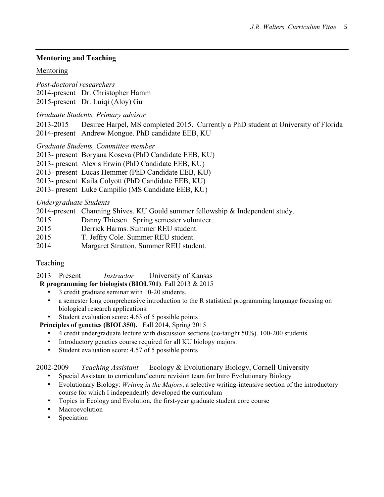# **Mentoring and Teaching**

### Mentoring

*Post-doctoral researchers*

2014-present Dr. Christopher Hamm

2015-present Dr. Luiqi (Aloy) Gu

*Graduate Students, Primary advisor*

2013-2015 Desiree Harpel, MS completed 2015. Currently a PhD student at University of Florida 2014-present Andrew Mongue. PhD candidate EEB, KU

*Graduate Students, Committee member*

- 2013- present Boryana Koseva (PhD Candidate EEB, KU)
- 2013- present Alexis Erwin (PhD Candidate EEB, KU)
- 2013- present Lucas Hemmer (PhD Candidate EEB, KU)
- 2013- present Kaila Colyott (PhD Candidate EEB, KU)
- 2013- present Luke Campillo (MS Candidate EEB, KU)

### *Undergraduate Students*

2014-present Channing Shives. KU Gould summer fellowship & Independent study.

- 2015 Danny Thiesen. Spring semester volunteer.
- 2015 Derrick Harms. Summer REU student.
- 2015 T. Jeffry Cole. Summer REU student.
- 2014 Margaret Stratton. Summer REU student.

# Teaching

2013 – Present *Instructor* University of Kansas

- **R programming for biologists (BIOL701)**. Fall 2013 & 2015
	- 3 credit graduate seminar with 10-20 students.
	- a semester long comprehensive introduction to the R statistical programming language focusing on biological research applications.
	- Student evaluation score: 4.63 of 5 possible points

**Principles of genetics (BIOL350).** Fall 2014, Spring 2015

- 4 credit undergraduate lecture with discussion sections (co-taught 50%). 100-200 students.
- Introductory genetics course required for all KU biology majors.
- Student evaluation score: 4.57 of 5 possible points

# 2002-2009 *Teaching Assistant* Ecology & Evolutionary Biology, Cornell University

- Special Assistant to curriculum/lecture revision team for Intro Evolutionary Biology
- Evolutionary Biology: *Writing in the Majors*, a selective writing-intensive section of the introductory course for which I independently developed the curriculum
- Topics in Ecology and Evolution, the first-year graduate student core course
- Macroevolution
- Speciation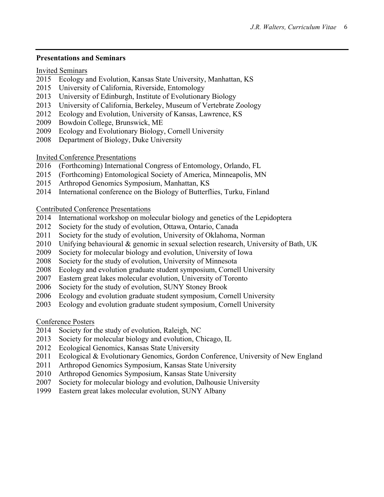#### **Presentations and Seminars**

### Invited Seminars

- Ecology and Evolution, Kansas State University, Manhattan, KS
- University of California, Riverside, Entomology
- University of Edinburgh, Institute of Evolutionary Biology
- University of California, Berkeley, Museum of Vertebrate Zoology
- Ecology and Evolution, University of Kansas, Lawrence, KS
- Bowdoin College, Brunswick, ME
- Ecology and Evolutionary Biology, Cornell University
- Department of Biology, Duke University

Invited Conference Presentations

- (Forthcoming) International Congress of Entomology, Orlando, FL
- (Forthcoming) Entomological Society of America, Minneapolis, MN
- Arthropod Genomics Symposium, Manhattan, KS
- International conference on the Biology of Butterflies, Turku, Finland

Contributed Conference Presentations

- International workshop on molecular biology and genetics of the Lepidoptera
- Society for the study of evolution, Ottawa, Ontario, Canada
- Society for the study of evolution, University of Oklahoma, Norman
- Unifying behavioural & genomic in sexual selection research, University of Bath, UK
- Society for molecular biology and evolution, University of Iowa
- Society for the study of evolution, University of Minnesota
- Ecology and evolution graduate student symposium, Cornell University
- Eastern great lakes molecular evolution, University of Toronto
- Society for the study of evolution, SUNY Stoney Brook
- Ecology and evolution graduate student symposium, Cornell University
- Ecology and evolution graduate student symposium, Cornell University

Conference Posters

- Society for the study of evolution, Raleigh, NC
- Society for molecular biology and evolution, Chicago, IL
- Ecological Genomics, Kansas State University
- Ecological & Evolutionary Genomics, Gordon Conference, University of New England
- Arthropod Genomics Symposium, Kansas State University
- Arthropod Genomics Symposium, Kansas State University
- Society for molecular biology and evolution, Dalhousie University
- Eastern great lakes molecular evolution, SUNY Albany